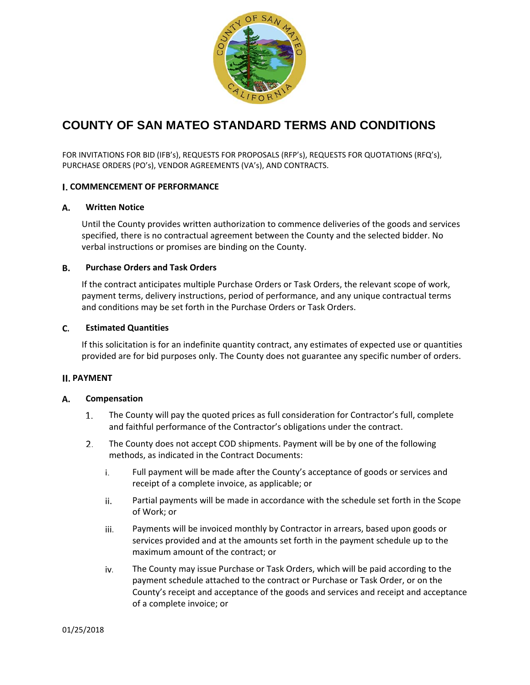

# **COUNTY OF SAN MATEO STANDARD TERMS AND CONDITIONS**

FOR INVITATIONS FOR BID (IFB's), REQUESTS FOR PROPOSALS (RFP's), REQUESTS FOR QUOTATIONS (RFQ's), PURCHASE ORDERS (PO's), VENDOR AGREEMENTS (VA's), AND CONTRACTS.

### **COMMENCEMENT OF PERFORMANCE**

#### **Written Notice** А.

Until the County provides written authorization to commence deliveries of the goods and services specified, there is no contractual agreement between the County and the selected bidder. No verbal instructions or promises are binding on the County.

#### **Purchase Orders and Task Orders** В.

If the contract anticipates multiple Purchase Orders or Task Orders, the relevant scope of work, payment terms, delivery instructions, period of performance, and any unique contractual terms and conditions may be set forth in the Purchase Orders or Task Orders.

#### C. **Estimated Quantities**

If this solicitation is for an indefinite quantity contract, any estimates of expected use or quantities provided are for bid purposes only. The County does not guarantee any specific number of orders.

### **II. PAYMENT**

#### А. **Compensation**

- $1.$ The County will pay the quoted prices as full consideration for Contractor's full, complete and faithful performance of the Contractor's obligations under the contract.
- $2.$ The County does not accept COD shipments. Payment will be by one of the following methods, as indicated in the Contract Documents:
	- i. Full payment will be made after the County's acceptance of goods or services and receipt of a complete invoice, as applicable; or
	- Partial payments will be made in accordance with the schedule set forth in the Scope ii. of Work; or
	- iii. Payments will be invoiced monthly by Contractor in arrears, based upon goods or services provided and at the amounts set forth in the payment schedule up to the maximum amount of the contract; or
	- iv. The County may issue Purchase or Task Orders, which will be paid according to the payment schedule attached to the contract or Purchase or Task Order, or on the County's receipt and acceptance of the goods and services and receipt and acceptance of a complete invoice; or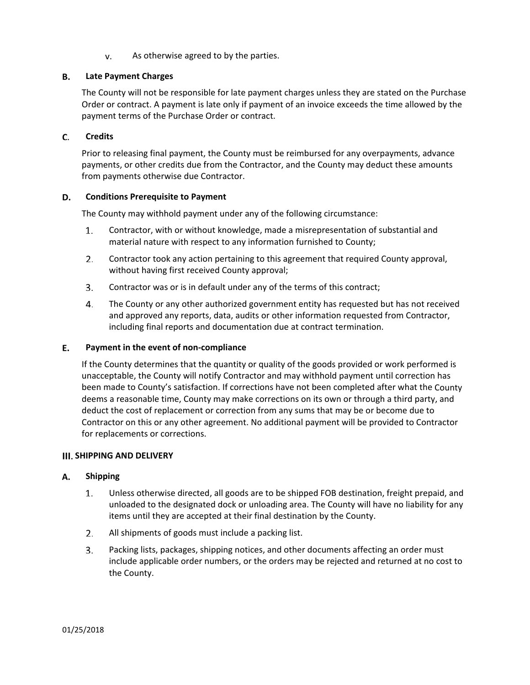As otherwise agreed to by the parties. v.

#### **Late Payment Charges** В.

The County will not be responsible for late payment charges unless they are stated on the Purchase Order or contract. A payment is late only if payment of an invoice exceeds the time allowed by the payment terms of the Purchase Order or contract.

#### C. **Credits**

Prior to releasing final payment, the County must be reimbursed for any overpayments, advance payments, or other credits due from the Contractor, and the County may deduct these amounts from payments otherwise due Contractor.

#### D. **Conditions Prerequisite to Payment**

The County may withhold payment under any of the following circumstance:

- 1. Contractor, with or without knowledge, made a misrepresentation of substantial and material nature with respect to any information furnished to County;
- $2.$ Contractor took any action pertaining to this agreement that required County approval, without having first received County approval;
- $3.$ Contractor was or is in default under any of the terms of this contract;
- $\mathbf{4}$ . The County or any other authorized government entity has requested but has not received and approved any reports, data, audits or other information requested from Contractor, including final reports and documentation due at contract termination.

#### Ε. **Payment in the event of non‐compliance**

If the County determines that the quantity or quality of the goods provided or work performed is unacceptable, the County will notify Contractor and may withhold payment until correction has been made to County's satisfaction. If corrections have not been completed after what the County deems a reasonable time, County may make corrections on its own or through a third party, and deduct the cost of replacement or correction from any sums that may be or become due to Contractor on this or any other agreement. No additional payment will be provided to Contractor for replacements or corrections.

### **III. SHIPPING AND DELIVERY**

#### А. **Shipping**

- 1. Unless otherwise directed, all goods are to be shipped FOB destination, freight prepaid, and unloaded to the designated dock or unloading area. The County will have no liability for any items until they are accepted at their final destination by the County.
- $2.$ All shipments of goods must include a packing list.
- $3<sub>1</sub>$ Packing lists, packages, shipping notices, and other documents affecting an order must include applicable order numbers, or the orders may be rejected and returned at no cost to the County.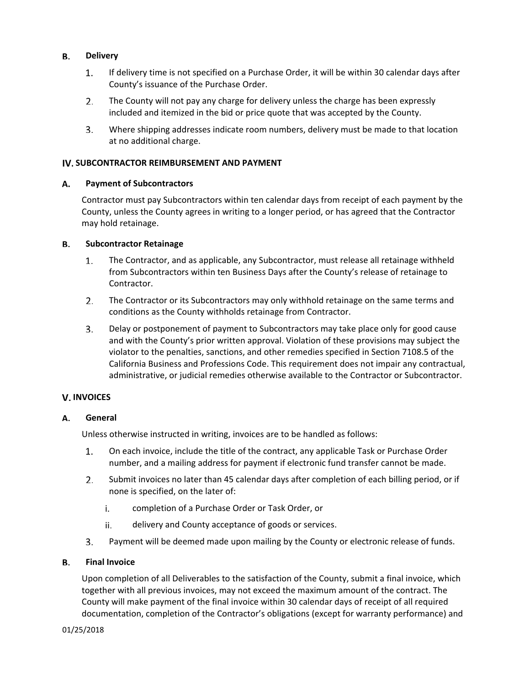#### В. **Delivery**

- 1. If delivery time is not specified on a Purchase Order, it will be within 30 calendar days after County's issuance of the Purchase Order.
- 2. The County will not pay any charge for delivery unless the charge has been expressly included and itemized in the bid or price quote that was accepted by the County.
- Where shipping addresses indicate room numbers, delivery must be made to that location 3. at no additional charge.

### **SUBCONTRACTOR REIMBURSEMENT AND PAYMENT**

#### А. **Payment of Subcontractors**

Contractor must pay Subcontractors within ten calendar days from receipt of each payment by the County, unless the County agrees in writing to a longer period, or has agreed that the Contractor may hold retainage.

#### **Subcontractor Retainage** В.

- 1. The Contractor, and as applicable, any Subcontractor, must release all retainage withheld from Subcontractors within ten Business Days after the County's release of retainage to Contractor.
- 2. The Contractor or its Subcontractors may only withhold retainage on the same terms and conditions as the County withholds retainage from Contractor.
- $3.$ Delay or postponement of payment to Subcontractors may take place only for good cause and with the County's prior written approval. Violation of these provisions may subject the violator to the penalties, sanctions, and other remedies specified in Section 7108.5 of the California Business and Professions Code. This requirement does not impair any contractual, administrative, or judicial remedies otherwise available to the Contractor or Subcontractor.

### **V. INVOICES**

#### А. **General**

Unless otherwise instructed in writing, invoices are to be handled as follows:

- $1.$ On each invoice, include the title of the contract, any applicable Task or Purchase Order number, and a mailing address for payment if electronic fund transfer cannot be made.
- $2.$ Submit invoices no later than 45 calendar days after completion of each billing period, or if none is specified, on the later of:
	- i. completion of a Purchase Order or Task Order, or
	- ii. delivery and County acceptance of goods or services.
- 3. Payment will be deemed made upon mailing by the County or electronic release of funds.

#### **Final Invoice** В.

Upon completion of all Deliverables to the satisfaction of the County, submit a final invoice, which together with all previous invoices, may not exceed the maximum amount of the contract. The County will make payment of the final invoice within 30 calendar days of receipt of all required documentation, completion of the Contractor's obligations (except for warranty performance) and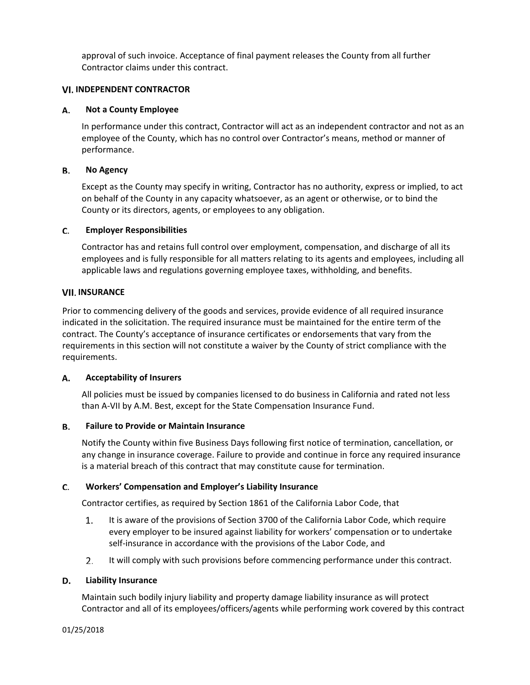approval of such invoice. Acceptance of final payment releases the County from all further Contractor claims under this contract.

### **INDEPENDENT CONTRACTOR**

#### **Not a County Employee** А.

In performance under this contract, Contractor will act as an independent contractor and not as an employee of the County, which has no control over Contractor's means, method or manner of performance.

#### В. **No Agency**

Except as the County may specify in writing, Contractor has no authority, express or implied, to act on behalf of the County in any capacity whatsoever, as an agent or otherwise, or to bind the County or its directors, agents, or employees to any obligation.

#### C. **Employer Responsibilities**

Contractor has and retains full control over employment, compensation, and discharge of all its employees and is fully responsible for all matters relating to its agents and employees, including all applicable laws and regulations governing employee taxes, withholding, and benefits.

# **VII. INSURANCE**

Prior to commencing delivery of the goods and services, provide evidence of all required insurance indicated in the solicitation. The required insurance must be maintained for the entire term of the contract. The County's acceptance of insurance certificates or endorsements that vary from the requirements in this section will not constitute a waiver by the County of strict compliance with the requirements.

#### А. **Acceptability of Insurers**

All policies must be issued by companies licensed to do business in California and rated not less than A‐VII by A.M. Best, except for the State Compensation Insurance Fund.

#### **Failure to Provide or Maintain Insurance** В.

Notify the County within five Business Days following first notice of termination, cancellation, or any change in insurance coverage. Failure to provide and continue in force any required insurance is a material breach of this contract that may constitute cause for termination.

#### C. **Workers' Compensation and Employer's Liability Insurance**

Contractor certifies, as required by Section 1861 of the California Labor Code, that

- It is aware of the provisions of Section 3700 of the California Labor Code, which require 1. every employer to be insured against liability for workers' compensation or to undertake self-insurance in accordance with the provisions of the Labor Code, and
- 2. It will comply with such provisions before commencing performance under this contract.

#### **Liability Insurance** D.

Maintain such bodily injury liability and property damage liability insurance as will protect Contractor and all of its employees/officers/agents while performing work covered by this contract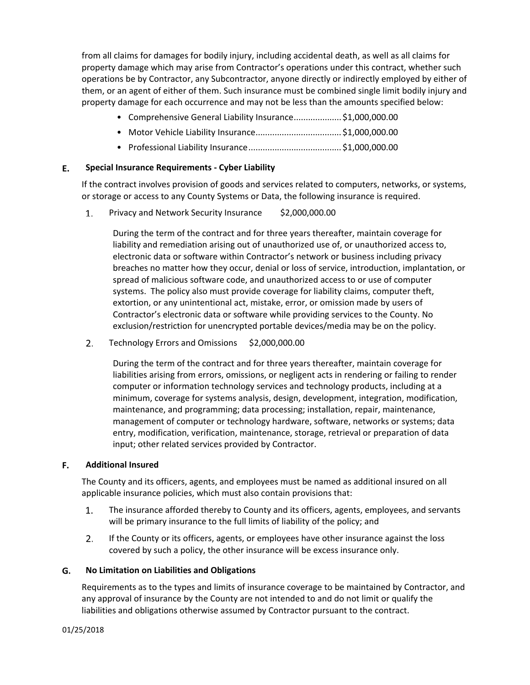from all claims for damages for bodily injury, including accidental death, as well as all claims for property damage which may arise from Contractor's operations under this contract, whether such operations be by Contractor, any Subcontractor, anyone directly or indirectly employed by either of them, or an agent of either of them. Such insurance must be combined single limit bodily injury and property damage for each occurrence and may not be less than the amounts specified below:

- Comprehensive General Liability Insurance.................... \$1,000,000.00
- Motor Vehicle Liability Insurance.................................... \$1,000,000.00
- Professional Liability Insurance....................................... \$1,000,000.00

#### Е. **Special Insurance Requirements ‐ Cyber Liability**

If the contract involves provision of goods and services related to computers, networks, or systems, or storage or access to any County Systems or Data, the following insurance is required.

 $1.$ Privacy and Network Security Insurance \$2,000,000.00

> During the term of the contract and for three years thereafter, maintain coverage for liability and remediation arising out of unauthorized use of, or unauthorized access to, electronic data or software within Contractor's network or business including privacy breaches no matter how they occur, denial or loss of service, introduction, implantation, or spread of malicious software code, and unauthorized access to or use of computer systems. The policy also must provide coverage for liability claims, computer theft, extortion, or any unintentional act, mistake, error, or omission made by users of Contractor's electronic data or software while providing services to the County. No exclusion/restriction for unencrypted portable devices/media may be on the policy.

 $2.$ Technology Errors and Omissions \$2,000,000.00

> During the term of the contract and for three years thereafter, maintain coverage for liabilities arising from errors, omissions, or negligent acts in rendering or failing to render computer or information technology services and technology products, including at a minimum, coverage for systems analysis, design, development, integration, modification, maintenance, and programming; data processing; installation, repair, maintenance, management of computer or technology hardware, software, networks or systems; data entry, modification, verification, maintenance, storage, retrieval or preparation of data input; other related services provided by Contractor.

#### **Additional Insured** F.

The County and its officers, agents, and employees must be named as additional insured on all applicable insurance policies, which must also contain provisions that:

- 1. The insurance afforded thereby to County and its officers, agents, employees, and servants will be primary insurance to the full limits of liability of the policy; and
- $2.$ If the County or its officers, agents, or employees have other insurance against the loss covered by such a policy, the other insurance will be excess insurance only.

#### G. **No Limitation on Liabilities and Obligations**

Requirements as to the types and limits of insurance coverage to be maintained by Contractor, and any approval of insurance by the County are not intended to and do not limit or qualify the liabilities and obligations otherwise assumed by Contractor pursuant to the contract.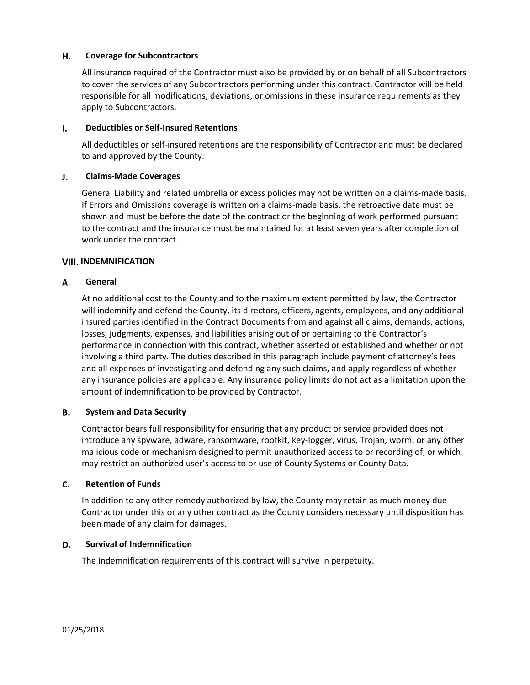#### Н. **Coverage for Subcontractors**

All insurance required of the Contractor must also be provided by or on behalf of all Subcontractors to cover the services of any Subcontractors performing under this contract. Contractor will be held responsible for all modifications, deviations, or omissions in these insurance requirements as they apply to Subcontractors.

#### I. **Deductibles or Self‐Insured Retentions**

All deductibles or self‐insured retentions are the responsibility of Contractor and must be declared to and approved by the County.

#### **Claims‐Made Coverages** J.

General Liability and related umbrella or excess policies may not be written on a claims-made basis. If Errors and Omissions coverage is written on a claims‐made basis, the retroactive date must be shown and must be before the date of the contract or the beginning of work performed pursuant to the contract and the insurance must be maintained for at least seven years after completion of work under the contract.

### **VIII. INDEMNIFICATION**

#### **General** А.

At no additional cost to the County and to the maximum extent permitted by law, the Contractor will indemnify and defend the County, its directors, officers, agents, employees, and any additional insured parties identified in the Contract Documents from and against all claims, demands, actions, losses, judgments, expenses, and liabilities arising out of or pertaining to the Contractor's performance in connection with this contract, whether asserted or established and whether or not involving a third party. The duties described in this paragraph include payment of attorney's fees and all expenses of investigating and defending any such claims, and apply regardless of whether any insurance policies are applicable. Any insurance policy limits do not act as a limitation upon the amount of indemnification to be provided by Contractor.

#### В. **System and Data Security**

Contractor bears full responsibility for ensuring that any product or service provided does not introduce any spyware, adware, ransomware, rootkit, key-logger, virus, Trojan, worm, or any other malicious code or mechanism designed to permit unauthorized access to or recording of, or which may restrict an authorized user's access to or use of County Systems or County Data.

#### C. **Retention of Funds**

In addition to any other remedy authorized by law, the County may retain as much money due Contractor under this or any other contract as the County considers necessary until disposition has been made of any claim for damages.

#### D. **Survival of Indemnification**

The indemnification requirements of this contract will survive in perpetuity.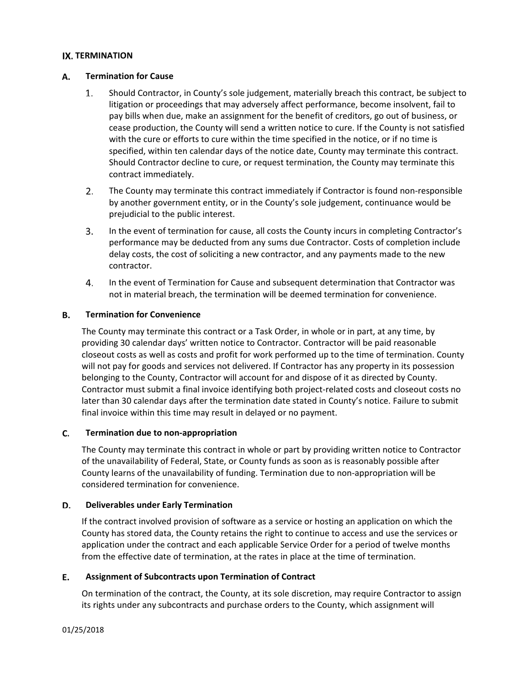### **IX. TERMINATION**

#### А. **Termination for Cause**

- $1.$ Should Contractor, in County's sole judgement, materially breach this contract, be subject to litigation or proceedings that may adversely affect performance, become insolvent, fail to pay bills when due, make an assignment for the benefit of creditors, go out of business, or cease production, the County will send a written notice to cure. If the County is not satisfied with the cure or efforts to cure within the time specified in the notice, or if no time is specified, within ten calendar days of the notice date, County may terminate this contract. Should Contractor decline to cure, or request termination, the County may terminate this contract immediately.
- $2.$ The County may terminate this contract immediately if Contractor is found non‐responsible by another government entity, or in the County's sole judgement, continuance would be prejudicial to the public interest.
- 3. In the event of termination for cause, all costs the County incurs in completing Contractor's performance may be deducted from any sums due Contractor. Costs of completion include delay costs, the cost of soliciting a new contractor, and any payments made to the new contractor.
- $4.$ In the event of Termination for Cause and subsequent determination that Contractor was not in material breach, the termination will be deemed termination for convenience.

#### В. **Termination for Convenience**

The County may terminate this contract or a Task Order, in whole or in part, at any time, by providing 30 calendar days' written notice to Contractor. Contractor will be paid reasonable closeout costs as well as costs and profit for work performed up to the time of termination. County will not pay for goods and services not delivered. If Contractor has any property in its possession belonging to the County, Contractor will account for and dispose of it as directed by County. Contractor must submit a final invoice identifying both project-related costs and closeout costs no later than 30 calendar days after the termination date stated in County's notice. Failure to submit final invoice within this time may result in delayed or no payment.

#### C. **Termination due to non‐appropriation**

The County may terminate this contract in whole or part by providing written notice to Contractor of the unavailability of Federal, State, or County funds as soon as is reasonably possible after County learns of the unavailability of funding. Termination due to non‐appropriation will be considered termination for convenience.

#### D. **Deliverables under Early Termination**

If the contract involved provision of software as a service or hosting an application on which the County has stored data, the County retains the right to continue to access and use the services or application under the contract and each applicable Service Order for a period of twelve months from the effective date of termination, at the rates in place at the time of termination.

#### **Assignment of Subcontracts upon Termination of Contract** Е.

On termination of the contract, the County, at its sole discretion, may require Contractor to assign its rights under any subcontracts and purchase orders to the County, which assignment will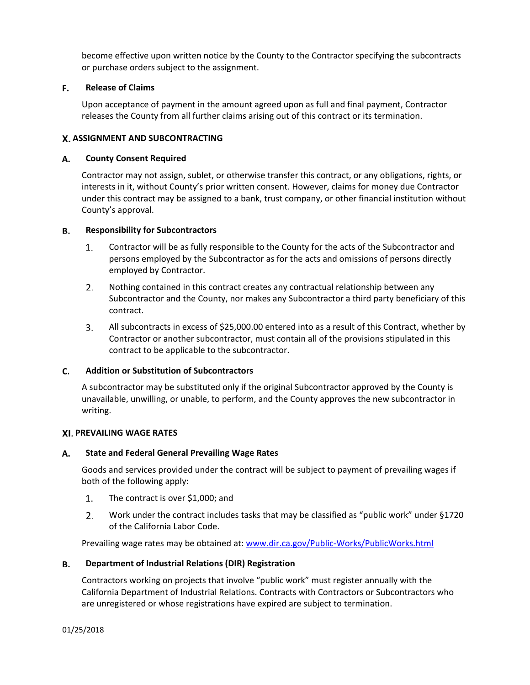become effective upon written notice by the County to the Contractor specifying the subcontracts or purchase orders subject to the assignment.

#### F. **Release of Claims**

Upon acceptance of payment in the amount agreed upon as full and final payment, Contractor releases the County from all further claims arising out of this contract or its termination.

### **ASSIGNMENT AND SUBCONTRACTING**

#### А. **County Consent Required**

Contractor may not assign, sublet, or otherwise transfer this contract, or any obligations, rights, or interests in it, without County's prior written consent. However, claims for money due Contractor under this contract may be assigned to a bank, trust company, or other financial institution without County's approval.

#### В. **Responsibility for Subcontractors**

- $1.$ Contractor will be as fully responsible to the County for the acts of the Subcontractor and persons employed by the Subcontractor as for the acts and omissions of persons directly employed by Contractor.
- $2.$ Nothing contained in this contract creates any contractual relationship between any Subcontractor and the County, nor makes any Subcontractor a third party beneficiary of this contract.
- 3. All subcontracts in excess of \$25,000.00 entered into as a result of this Contract, whether by Contractor or another subcontractor, must contain all of the provisions stipulated in this contract to be applicable to the subcontractor.

#### C. **Addition or Substitution of Subcontractors**

A subcontractor may be substituted only if the original Subcontractor approved by the County is unavailable, unwilling, or unable, to perform, and the County approves the new subcontractor in writing.

### **PREVAILING WAGE RATES**

#### А. **State and Federal General Prevailing Wage Rates**

Goods and services provided under the contract will be subject to payment of prevailing wages if both of the following apply:

- 1. The contract is over \$1,000; and
- $2.$ Work under the contract includes tasks that may be classified as "public work" under §1720 of the California Labor Code.

Prevailing wage rates may be obtained at: www.dir.ca.gov/Public‐Works/PublicWorks.html

#### В. **Department of Industrial Relations (DIR) Registration**

Contractors working on projects that involve "public work" must register annually with the California Department of Industrial Relations. Contracts with Contractors or Subcontractors who are unregistered or whose registrations have expired are subject to termination.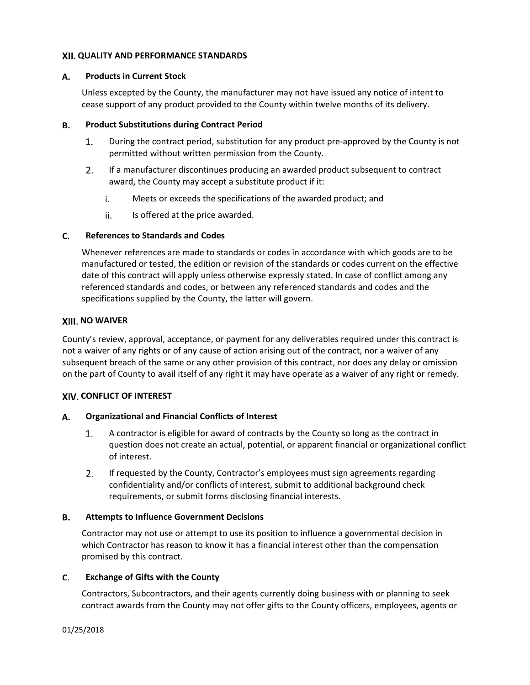### **QUALITY AND PERFORMANCE STANDARDS**

#### А. **Products in Current Stock**

Unless excepted by the County, the manufacturer may not have issued any notice of intent to cease support of any product provided to the County within twelve months of its delivery.

#### **Product Substitutions during Contract Period** В.

- 1. During the contract period, substitution for any product pre‐approved by the County is not permitted without written permission from the County.
- $2.$ If a manufacturer discontinues producing an awarded product subsequent to contract award, the County may accept a substitute product if it:
	- i. Meets or exceeds the specifications of the awarded product; and
	- ii. Is offered at the price awarded.

#### C. **References to Standards and Codes**

Whenever references are made to standards or codes in accordance with which goods are to be manufactured or tested, the edition or revision of the standards or codes current on the effective date of this contract will apply unless otherwise expressly stated. In case of conflict among any referenced standards and codes, or between any referenced standards and codes and the specifications supplied by the County, the latter will govern.

### **XIII. NO WAIVER**

County's review, approval, acceptance, or payment for any deliverables required under this contract is not a waiver of any rights or of any cause of action arising out of the contract, nor a waiver of any subsequent breach of the same or any other provision of this contract, nor does any delay or omission on the part of County to avail itself of any right it may have operate as a waiver of any right or remedy.

### **CONFLICT OF INTEREST**

#### А. **Organizational and Financial Conflicts of Interest**

- A contractor is eligible for award of contracts by the County so long as the contract in  $1.$ question does not create an actual, potential, or apparent financial or organizational conflict of interest.
- If requested by the County, Contractor's employees must sign agreements regarding 2. confidentiality and/or conflicts of interest, submit to additional background check requirements, or submit forms disclosing financial interests.

#### **Attempts to Influence Government Decisions** В.

Contractor may not use or attempt to use its position to influence a governmental decision in which Contractor has reason to know it has a financial interest other than the compensation promised by this contract.

#### C. **Exchange of Gifts with the County**

Contractors, Subcontractors, and their agents currently doing business with or planning to seek contract awards from the County may not offer gifts to the County officers, employees, agents or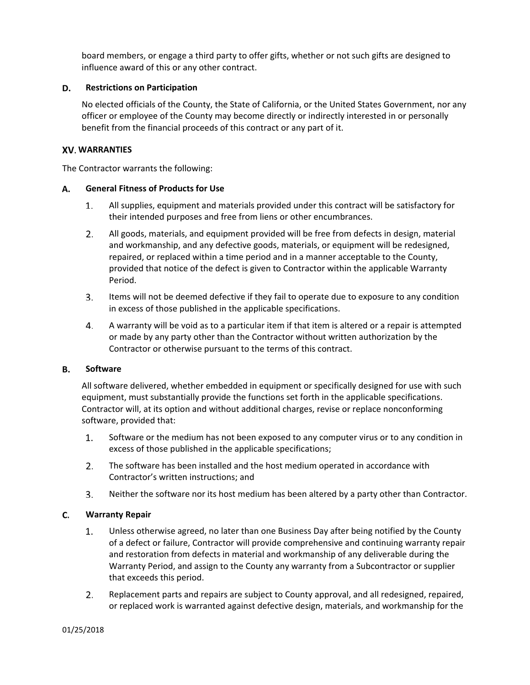board members, or engage a third party to offer gifts, whether or not such gifts are designed to influence award of this or any other contract.

#### D. **Restrictions on Participation**

No elected officials of the County, the State of California, or the United States Government, nor any officer or employee of the County may become directly or indirectly interested in or personally benefit from the financial proceeds of this contract or any part of it.

### **WARRANTIES**

The Contractor warrants the following:

#### А. **General Fitness of Products for Use**

- 1. All supplies, equipment and materials provided under this contract will be satisfactory for their intended purposes and free from liens or other encumbrances.
- $2.$ All goods, materials, and equipment provided will be free from defects in design, material and workmanship, and any defective goods, materials, or equipment will be redesigned, repaired, or replaced within a time period and in a manner acceptable to the County, provided that notice of the defect is given to Contractor within the applicable Warranty Period.
- 3. Items will not be deemed defective if they fail to operate due to exposure to any condition in excess of those published in the applicable specifications.
- A warranty will be void as to a particular item if that item is altered or a repair is attempted 4. or made by any party other than the Contractor without written authorization by the Contractor or otherwise pursuant to the terms of this contract.

#### **Software**  В.

All software delivered, whether embedded in equipment or specifically designed for use with such equipment, must substantially provide the functions set forth in the applicable specifications. Contractor will, at its option and without additional charges, revise or replace nonconforming software, provided that:

- 1. Software or the medium has not been exposed to any computer virus or to any condition in excess of those published in the applicable specifications;
- $2.$ The software has been installed and the host medium operated in accordance with Contractor's written instructions; and
- Neither the software nor its host medium has been altered by a party other than Contractor. 3.

#### C. **Warranty Repair**

- 1. Unless otherwise agreed, no later than one Business Day after being notified by the County of a defect or failure, Contractor will provide comprehensive and continuing warranty repair and restoration from defects in material and workmanship of any deliverable during the Warranty Period, and assign to the County any warranty from a Subcontractor or supplier that exceeds this period.
- $2.$ Replacement parts and repairs are subject to County approval, and all redesigned, repaired, or replaced work is warranted against defective design, materials, and workmanship for the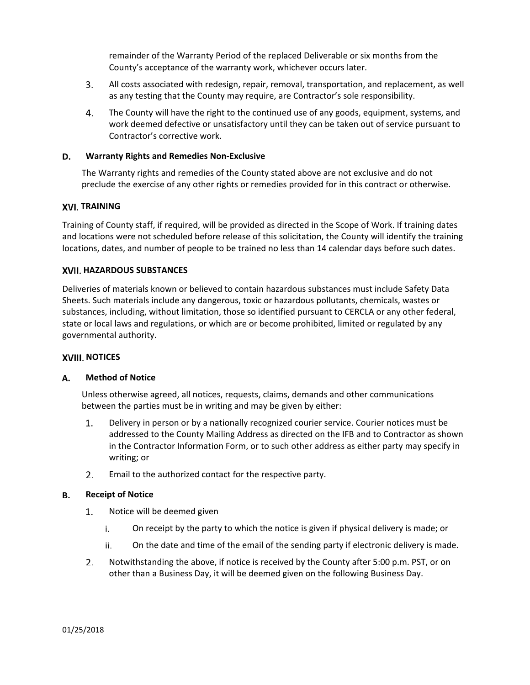remainder of the Warranty Period of the replaced Deliverable or six months from the County's acceptance of the warranty work, whichever occurs later.

- 3. All costs associated with redesign, repair, removal, transportation, and replacement, as well as any testing that the County may require, are Contractor's sole responsibility.
- 4. The County will have the right to the continued use of any goods, equipment, systems, and work deemed defective or unsatisfactory until they can be taken out of service pursuant to Contractor's corrective work.

#### **Warranty Rights and Remedies Non‐Exclusive** D.

The Warranty rights and remedies of the County stated above are not exclusive and do not preclude the exercise of any other rights or remedies provided for in this contract or otherwise.

### **XVI. TRAINING**

Training of County staff, if required, will be provided as directed in the Scope of Work. If training dates and locations were not scheduled before release of this solicitation, the County will identify the training locations, dates, and number of people to be trained no less than 14 calendar days before such dates.

### **HAZARDOUS SUBSTANCES**

Deliveries of materials known or believed to contain hazardous substances must include Safety Data Sheets. Such materials include any dangerous, toxic or hazardous pollutants, chemicals, wastes or substances, including, without limitation, those so identified pursuant to CERCLA or any other federal, state or local laws and regulations, or which are or become prohibited, limited or regulated by any governmental authority.

### **XVIII. NOTICES**

#### **Method of Notice**  А.

Unless otherwise agreed, all notices, requests, claims, demands and other communications between the parties must be in writing and may be given by either:

- $\mathbf{1}$ . Delivery in person or by a nationally recognized courier service. Courier notices must be addressed to the County Mailing Address as directed on the IFB and to Contractor as shown in the Contractor Information Form, or to such other address as either party may specify in writing; or
- 2. Email to the authorized contact for the respective party.

#### В. **Receipt of Notice**

- $1.$ Notice will be deemed given
	- i. On receipt by the party to which the notice is given if physical delivery is made; or
	- On the date and time of the email of the sending party if electronic delivery is made. ii.
- $2.$ Notwithstanding the above, if notice is received by the County after 5:00 p.m. PST, or on other than a Business Day, it will be deemed given on the following Business Day.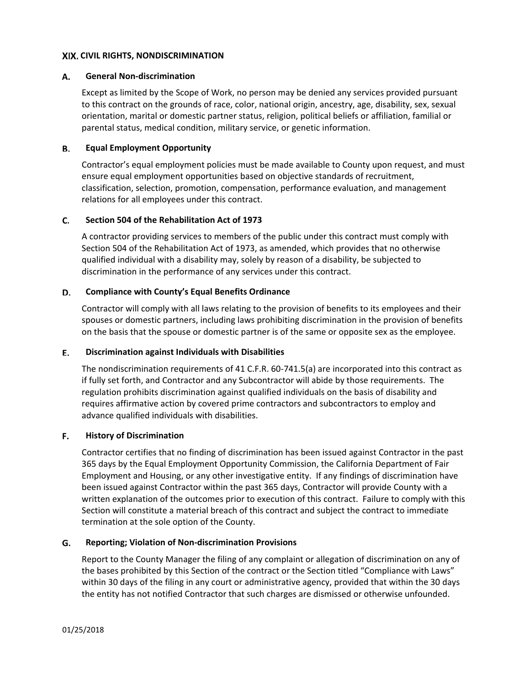### **CIVIL RIGHTS, NONDISCRIMINATION**

#### А. **General Non‐discrimination**

Except as limited by the Scope of Work, no person may be denied any services provided pursuant to this contract on the grounds of race, color, national origin, ancestry, age, disability, sex, sexual orientation, marital or domestic partner status, religion, political beliefs or affiliation, familial or parental status, medical condition, military service, or genetic information.

#### **Equal Employment Opportunity** В.

Contractor's equal employment policies must be made available to County upon request, and must ensure equal employment opportunities based on objective standards of recruitment, classification, selection, promotion, compensation, performance evaluation, and management relations for all employees under this contract.

#### C. **Section 504 of the Rehabilitation Act of 1973**

A contractor providing services to members of the public under this contract must comply with Section 504 of the Rehabilitation Act of 1973, as amended, which provides that no otherwise qualified individual with a disability may, solely by reason of a disability, be subjected to discrimination in the performance of any services under this contract.

#### D. **Compliance with County's Equal Benefits Ordinance**

Contractor will comply with all laws relating to the provision of benefits to its employees and their spouses or domestic partners, including laws prohibiting discrimination in the provision of benefits on the basis that the spouse or domestic partner is of the same or opposite sex as the employee.

#### Е. **Discrimination against Individuals with Disabilities**

The nondiscrimination requirements of 41 C.F.R. 60-741.5(a) are incorporated into this contract as if fully set forth, and Contractor and any Subcontractor will abide by those requirements. The regulation prohibits discrimination against qualified individuals on the basis of disability and requires affirmative action by covered prime contractors and subcontractors to employ and advance qualified individuals with disabilities.

#### **History of Discrimination** F.

Contractor certifies that no finding of discrimination has been issued against Contractor in the past 365 days by the Equal Employment Opportunity Commission, the California Department of Fair Employment and Housing, or any other investigative entity. If any findings of discrimination have been issued against Contractor within the past 365 days, Contractor will provide County with a written explanation of the outcomes prior to execution of this contract. Failure to comply with this Section will constitute a material breach of this contract and subject the contract to immediate termination at the sole option of the County.

#### G. **Reporting; Violation of Non‐discrimination Provisions**

Report to the County Manager the filing of any complaint or allegation of discrimination on any of the bases prohibited by this Section of the contract or the Section titled "Compliance with Laws" within 30 days of the filing in any court or administrative agency, provided that within the 30 days the entity has not notified Contractor that such charges are dismissed or otherwise unfounded.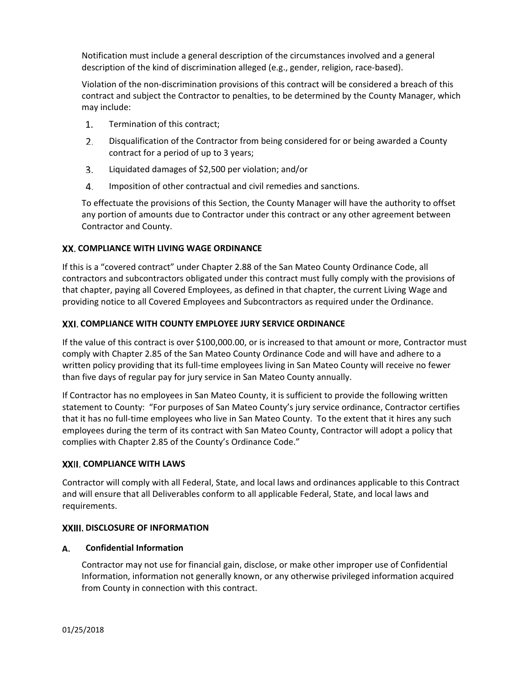Notification must include a general description of the circumstances involved and a general description of the kind of discrimination alleged (e.g., gender, religion, race‐based).

Violation of the non‐discrimination provisions of this contract will be considered a breach of this contract and subject the Contractor to penalties, to be determined by the County Manager, which may include:

- 1. Termination of this contract;
- $2.$ Disqualification of the Contractor from being considered for or being awarded a County contract for a period of up to 3 years;
- 3. Liquidated damages of \$2,500 per violation; and/or
- 4. Imposition of other contractual and civil remedies and sanctions.

To effectuate the provisions of this Section, the County Manager will have the authority to offset any portion of amounts due to Contractor under this contract or any other agreement between Contractor and County.

# **COMPLIANCE WITH LIVING WAGE ORDINANCE**

If this is a "covered contract" under Chapter 2.88 of the San Mateo County Ordinance Code, all contractors and subcontractors obligated under this contract must fully comply with the provisions of that chapter, paying all Covered Employees, as defined in that chapter, the current Living Wage and providing notice to all Covered Employees and Subcontractors as required under the Ordinance.

### **COMPLIANCE WITH COUNTY EMPLOYEE JURY SERVICE ORDINANCE**

If the value of this contract is over \$100,000.00, or is increased to that amount or more, Contractor must comply with Chapter 2.85 of the San Mateo County Ordinance Code and will have and adhere to a written policy providing that its full-time employees living in San Mateo County will receive no fewer than five days of regular pay for jury service in San Mateo County annually.

If Contractor has no employees in San Mateo County, it is sufficient to provide the following written statement to County: "For purposes of San Mateo County's jury service ordinance, Contractor certifies that it has no full‐time employees who live in San Mateo County. To the extent that it hires any such employees during the term of its contract with San Mateo County, Contractor will adopt a policy that complies with Chapter 2.85 of the County's Ordinance Code."

### **COMPLIANCE WITH LAWS**

Contractor will comply with all Federal, State, and local laws and ordinances applicable to this Contract and will ensure that all Deliverables conform to all applicable Federal, State, and local laws and requirements.

### **XXIII. DISCLOSURE OF INFORMATION**

#### А. **Confidential Information**

Contractor may not use for financial gain, disclose, or make other improper use of Confidential Information, information not generally known, or any otherwise privileged information acquired from County in connection with this contract.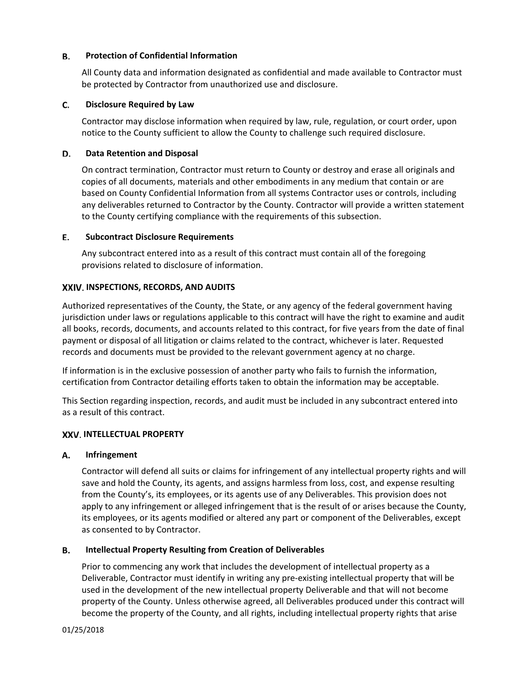#### В. **Protection of Confidential Information**

All County data and information designated as confidential and made available to Contractor must be protected by Contractor from unauthorized use and disclosure.

#### C. **Disclosure Required by Law**

Contractor may disclose information when required by law, rule, regulation, or court order, upon notice to the County sufficient to allow the County to challenge such required disclosure.

#### **Data Retention and Disposal**  D.

On contract termination, Contractor must return to County or destroy and erase all originals and copies of all documents, materials and other embodiments in any medium that contain or are based on County Confidential Information from all systems Contractor uses or controls, including any deliverables returned to Contractor by the County. Contractor will provide a written statement to the County certifying compliance with the requirements of this subsection.

#### Е. **Subcontract Disclosure Requirements**

Any subcontract entered into as a result of this contract must contain all of the foregoing provisions related to disclosure of information.

# **INSPECTIONS, RECORDS, AND AUDITS**

Authorized representatives of the County, the State, or any agency of the federal government having jurisdiction under laws or regulations applicable to this contract will have the right to examine and audit all books, records, documents, and accounts related to this contract, for five years from the date of final payment or disposal of all litigation or claims related to the contract, whichever is later. Requested records and documents must be provided to the relevant government agency at no charge.

If information is in the exclusive possession of another party who fails to furnish the information, certification from Contractor detailing efforts taken to obtain the information may be acceptable.

This Section regarding inspection, records, and audit must be included in any subcontract entered into as a result of this contract.

### **INTELLECTUAL PROPERTY**

#### А. **Infringement**

Contractor will defend all suits or claims for infringement of any intellectual property rights and will save and hold the County, its agents, and assigns harmless from loss, cost, and expense resulting from the County's, its employees, or its agents use of any Deliverables. This provision does not apply to any infringement or alleged infringement that is the result of or arises because the County, its employees, or its agents modified or altered any part or component of the Deliverables, except as consented to by Contractor.

#### В. **Intellectual Property Resulting from Creation of Deliverables**

Prior to commencing any work that includes the development of intellectual property as a Deliverable, Contractor must identify in writing any pre-existing intellectual property that will be used in the development of the new intellectual property Deliverable and that will not become property of the County. Unless otherwise agreed, all Deliverables produced under this contract will become the property of the County, and all rights, including intellectual property rights that arise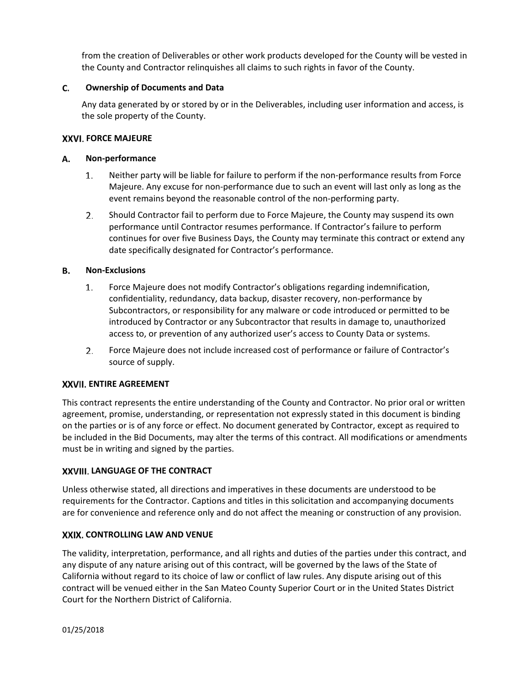from the creation of Deliverables or other work products developed for the County will be vested in the County and Contractor relinquishes all claims to such rights in favor of the County.

#### C. **Ownership of Documents and Data**

Any data generated by or stored by or in the Deliverables, including user information and access, is the sole property of the County.

### **FORCE MAJEURE**

#### **Non‐performance** А.

- $1.$ Neither party will be liable for failure to perform if the non‐performance results from Force Majeure. Any excuse for non‐performance due to such an event will last only as long as the event remains beyond the reasonable control of the non‐performing party.
- $2.$ Should Contractor fail to perform due to Force Majeure, the County may suspend its own performance until Contractor resumes performance. If Contractor's failure to perform continues for over five Business Days, the County may terminate this contract or extend any date specifically designated for Contractor's performance.

#### **Non‐Exclusions** В.

- $1.$ Force Majeure does not modify Contractor's obligations regarding indemnification, confidentiality, redundancy, data backup, disaster recovery, non‐performance by Subcontractors, or responsibility for any malware or code introduced or permitted to be introduced by Contractor or any Subcontractor that results in damage to, unauthorized access to, or prevention of any authorized user's access to County Data or systems.
- 2. Force Majeure does not include increased cost of performance or failure of Contractor's source of supply.

# **ENTIRE AGREEMENT**

This contract represents the entire understanding of the County and Contractor. No prior oral or written agreement, promise, understanding, or representation not expressly stated in this document is binding on the parties or is of any force or effect. No document generated by Contractor, except as required to be included in the Bid Documents, may alter the terms of this contract. All modifications or amendments must be in writing and signed by the parties.

# **LANGUAGE OF THE CONTRACT**

Unless otherwise stated, all directions and imperatives in these documents are understood to be requirements for the Contractor. Captions and titles in this solicitation and accompanying documents are for convenience and reference only and do not affect the meaning or construction of any provision.

# **CONTROLLING LAW AND VENUE**

The validity, interpretation, performance, and all rights and duties of the parties under this contract, and any dispute of any nature arising out of this contract, will be governed by the laws of the State of California without regard to its choice of law or conflict of law rules. Any dispute arising out of this contract will be venued either in the San Mateo County Superior Court or in the United States District Court for the Northern District of California.